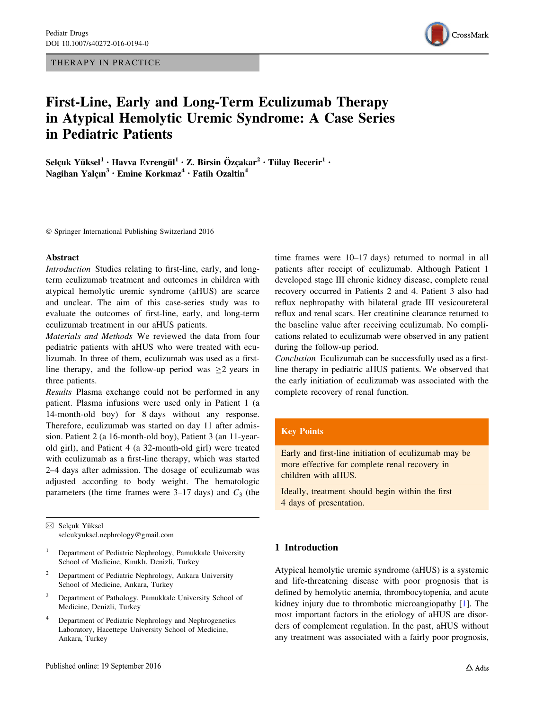THERAPY IN PRACTICE



# First-Line, Early and Long-Term Eculizumab Therapy in Atypical Hemolytic Uremic Syndrome: A Case Series in Pediatric Patients

Selçuk Yüksel $^1\cdot$  Havva Evrengül $^1\cdot$  Z. Birsin Özçakar $^2\cdot$  Tülay Becerir $^1\cdot$ Nagihan Yalcın<sup>3</sup> • Emine Korkmaz<sup>4</sup> • Fatih Ozaltin<sup>4</sup>

- Springer International Publishing Switzerland 2016

#### Abstract

Introduction Studies relating to first-line, early, and longterm eculizumab treatment and outcomes in children with atypical hemolytic uremic syndrome (aHUS) are scarce and unclear. The aim of this case-series study was to evaluate the outcomes of first-line, early, and long-term eculizumab treatment in our aHUS patients.

Materials and Methods We reviewed the data from four pediatric patients with aHUS who were treated with eculizumab. In three of them, eculizumab was used as a firstline therapy, and the follow-up period was  $\geq 2$  years in three patients.

Results Plasma exchange could not be performed in any patient. Plasma infusions were used only in Patient 1 (a 14-month-old boy) for 8 days without any response. Therefore, eculizumab was started on day 11 after admission. Patient 2 (a 16-month-old boy), Patient 3 (an 11-yearold girl), and Patient 4 (a 32-month-old girl) were treated with eculizumab as a first-line therapy, which was started 2–4 days after admission. The dosage of eculizumab was adjusted according to body weight. The hematologic parameters (the time frames were  $3-17$  days) and  $C_3$  (the

 $\boxtimes$  Selçuk Yüksel selcukyuksel.nephrology@gmail.com

- <sup>1</sup> Department of Pediatric Nephrology, Pamukkale University School of Medicine, Kınıklı, Denizli, Turkey
- <sup>2</sup> Department of Pediatric Nephrology, Ankara University School of Medicine, Ankara, Turkey
- <sup>3</sup> Department of Pathology, Pamukkale University School of Medicine, Denizli, Turkey
- Department of Pediatric Nephrology and Nephrogenetics Laboratory, Hacettepe University School of Medicine, Ankara, Turkey

time frames were 10–17 days) returned to normal in all patients after receipt of eculizumab. Although Patient 1 developed stage III chronic kidney disease, complete renal recovery occurred in Patients 2 and 4. Patient 3 also had reflux nephropathy with bilateral grade III vesicoureteral reflux and renal scars. Her creatinine clearance returned to the baseline value after receiving eculizumab. No complications related to eculizumab were observed in any patient during the follow-up period.

Conclusion Eculizumab can be successfully used as a firstline therapy in pediatric aHUS patients. We observed that the early initiation of eculizumab was associated with the complete recovery of renal function.

# Key Points

Early and first-line initiation of eculizumab may be more effective for complete renal recovery in children with aHUS.

Ideally, treatment should begin within the first 4 days of presentation.

# 1 Introduction

Atypical hemolytic uremic syndrome (aHUS) is a systemic and life-threatening disease with poor prognosis that is defined by hemolytic anemia, thrombocytopenia, and acute kidney injury due to thrombotic microangiopathy [[1\]](#page-6-0). The most important factors in the etiology of aHUS are disorders of complement regulation. In the past, aHUS without any treatment was associated with a fairly poor prognosis,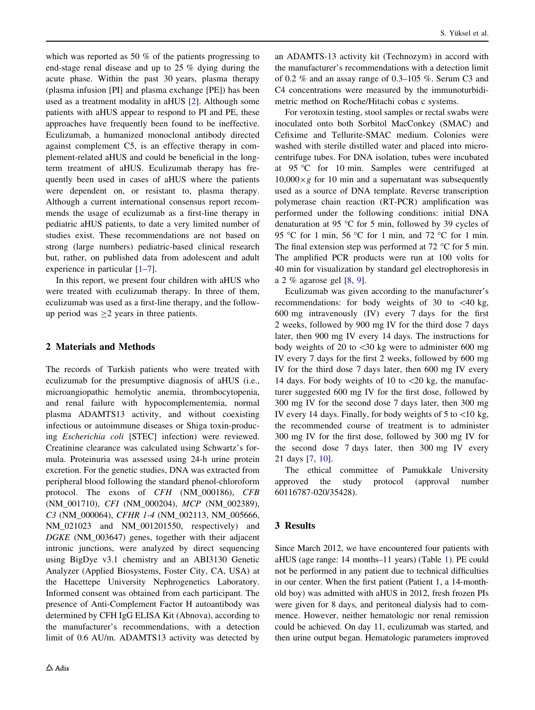which was reported as 50 % of the patients progressing to end-stage renal disease and up to 25 % dying during the acute phase. Within the past 30 years, plasma therapy (plasma infusion [PI] and plasma exchange [PE]) has been used as a treatment modality in aHUS [\[2](#page-6-0)]. Although some patients with aHUS appear to respond to PI and PE, these approaches have frequently been found to be ineffective. Eculizumab, a humanized monoclonal antibody directed against complement C5, is an effective therapy in complement-related aHUS and could be beneficial in the longterm treatment of aHUS. Eculizumab therapy has frequently been used in cases of aHUS where the patients were dependent on, or resistant to, plasma therapy. Although a current international consensus report recommends the usage of eculizumab as a first-line therapy in pediatric aHUS patients, to date a very limited number of studies exist. These recommendations are not based on strong (large numbers) pediatric-based clinical research but, rather, on published data from adolescent and adult experience in particular [\[1–7](#page-6-0)].

In this report, we present four children with aHUS who were treated with eculizumab therapy. In three of them, eculizumab was used as a first-line therapy, and the followup period was  $\geq$  years in three patients.

# 2 Materials and Methods

The records of Turkish patients who were treated with eculizumab for the presumptive diagnosis of aHUS (i.e., microangiopathic hemolytic anemia, thrombocytopenia, and renal failure with hypocomplementemia, normal plasma ADAMTS13 activity, and without coexisting infectious or autoimmune diseases or Shiga toxin-producing Escherichia coli [STEC] infection) were reviewed. Creatinine clearance was calculated using Schwartz's formula. Proteinuria was assessed using 24-h urine protein excretion. For the genetic studies, DNA was extracted from peripheral blood following the standard phenol-chloroform protocol. The exons of CFH (NM\_000186), CFB (NM\_001710), CFI (NM\_000204), MCP (NM\_002389), C3 (NM\_000064), CFHR 1-4 (NM\_002113, NM\_005666, NM\_021023 and NM\_001201550, respectively) and DGKE (NM\_003647) genes, together with their adjacent intronic junctions, were analyzed by direct sequencing using BigDye v3.1 chemistry and an ABI3130 Genetic Analyzer (Applied Biosystems, Foster City, CA, USA) at the Hacettepe University Nephrogenetics Laboratory. Informed consent was obtained from each participant. The presence of Anti-Complement Factor H autoantibody was determined by CFH IgG ELISA Kit (Abnova), according to the manufacturer's recommendations, with a detection limit of 0.6 AU/m. ADAMTS13 activity was detected by

an ADAMTS-13 activity kit (Technozym) in accord with the manufacturer's recommendations with a detection limit of 0.2 % and an assay range of 0.3–105 %. Serum C3 and C4 concentrations were measured by the immunoturbidimetric method on Roche/Hitachi cobas c systems.

For verotoxin testing, stool samples or rectal swabs were inoculated onto both Sorbitol MacConkey (SMAC) and Cefixime and Tellurite-SMAC medium. Colonies were washed with sterile distilled water and placed into microcentrifuge tubes. For DNA isolation, tubes were incubated at 95 C for 10 min. Samples were centrifuged at  $10,000 \times g$  for 10 min and a supernatant was subsequently used as a source of DNA template. Reverse transcription polymerase chain reaction (RT-PCR) amplification was performed under the following conditions: initial DNA denaturation at 95  $\degree$ C for 5 min, followed by 39 cycles of 95 °C for 1 min, 56 °C for 1 min, and 72 °C for 1 min. The final extension step was performed at  $72 \degree C$  for 5 min. The amplified PCR products were run at 100 volts for 40 min for visualization by standard gel electrophoresis in a 2 % agarose gel [[8,](#page-6-0) [9](#page-7-0)].

Eculizumab was given according to the manufacturer's recommendations: for body weights of 30 to  $\lt$  40 kg, 600 mg intravenously (IV) every 7 days for the first 2 weeks, followed by 900 mg IV for the third dose 7 days later, then 900 mg IV every 14 days. The instructions for body weights of 20 to  $\lt 30$  kg were to administer 600 mg IV every 7 days for the first 2 weeks, followed by 600 mg IV for the third dose 7 days later, then 600 mg IV every 14 days. For body weights of 10 to  $\langle 20 \text{ kg} \rangle$ , the manufacturer suggested 600 mg IV for the first dose, followed by 300 mg IV for the second dose 7 days later, then 300 mg IV every 14 days. Finally, for body weights of  $5$  to  $\lt 10$  kg, the recommended course of treatment is to administer 300 mg IV for the first dose, followed by 300 mg IV for the second dose 7 days later, then 300 mg IV every 21 days [\[7](#page-6-0), [10](#page-7-0)].

The ethical committee of Pamukkale University approved the study protocol (approval number 60116787-020/35428).

### 3 Results

Since March 2012, we have encountered four patients with aHUS (age range: 14 months–11 years) (Table [1\)](#page-2-0). PE could not be performed in any patient due to technical difficulties in our center. When the first patient (Patient 1, a 14-monthold boy) was admitted with aHUS in 2012, fresh frozen PIs were given for 8 days, and peritoneal dialysis had to commence. However, neither hematologic nor renal remission could be achieved. On day 11, eculizumab was started, and then urine output began. Hematologic parameters improved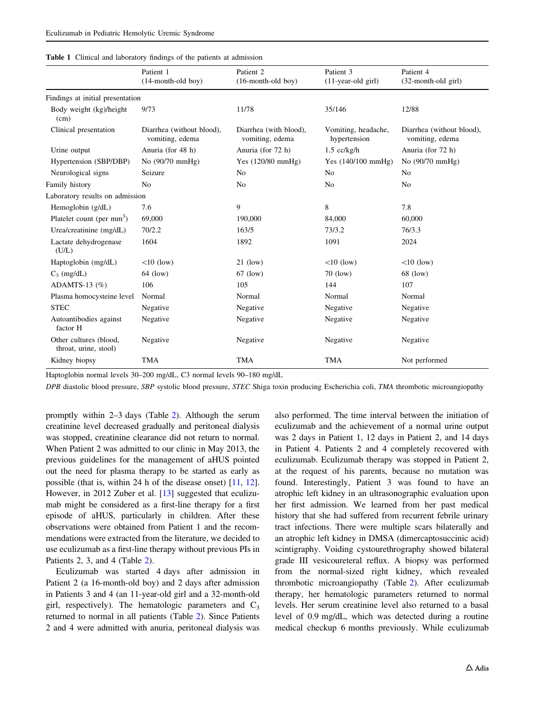<span id="page-2-0"></span>

|  |  |  | Table 1 Clinical and laboratory findings of the patients at admission |  |  |  |  |  |  |
|--|--|--|-----------------------------------------------------------------------|--|--|--|--|--|--|
|--|--|--|-----------------------------------------------------------------------|--|--|--|--|--|--|

|                                                             | Patient 1<br>$(14$ -month-old boy)           | Patient <sub>2</sub><br>$(16$ -month-old boy) | Patient 3<br>$(11-year-old girl)$   | Patient 4<br>(32-month-old girl)             |  |
|-------------------------------------------------------------|----------------------------------------------|-----------------------------------------------|-------------------------------------|----------------------------------------------|--|
| Findings at initial presentation                            |                                              |                                               |                                     |                                              |  |
| Body weight (kg)/height<br>(cm)                             | 9/73                                         | 11/78                                         | 35/146                              | 12/88                                        |  |
| Clinical presentation                                       | Diarrhea (without blood),<br>vomiting, edema | Diarrhea (with blood),<br>vomiting, edema     | Vomiting, headache,<br>hypertension | Diarrhea (without blood),<br>vomiting, edema |  |
| Urine output                                                | Anuria (for 48 h)                            | Anuria (for 72 h)                             | $1.5$ cc/kg/h                       | Anuria (for 72 h)                            |  |
| Hypertension (SBP/DBP)                                      | No (90/70 mmHg)                              | Yes $(120/80 \text{ mmHg})$                   | Yes $(140/100 \text{ mmHg})$        | No (90/70 mmHg)                              |  |
| Neurological signs                                          | Seizure                                      | N <sub>0</sub>                                | N <sub>0</sub>                      | N <sub>0</sub>                               |  |
| Family history                                              | N <sub>o</sub>                               | No                                            | N <sub>0</sub>                      | N <sub>0</sub>                               |  |
| Laboratory results on admission                             |                                              |                                               |                                     |                                              |  |
| Hemoglobin (g/dL)                                           | 7.6                                          | 9                                             | 8                                   | 7.8                                          |  |
| Platelet count (per $mm3$ )                                 | 69,000                                       | 190,000                                       | 84,000                              | 60,000                                       |  |
| Urea/creatinine (mg/dL)                                     | 70/2.2                                       | 163/5                                         | 73/3.2                              | 76/3.3                                       |  |
| Lactate dehydrogenase<br>(U/L)                              | 1604                                         | 1892                                          | 1091                                | 2024                                         |  |
| Haptoglobin (mg/dL)                                         | $<$ 10 (low)                                 | $21$ (low)                                    | $<$ 10 (low)                        | $<10$ (low)                                  |  |
| $C_3$ (mg/dL)                                               | 64 (low)                                     | $67$ (low)                                    | $70$ (low)                          | 68 (low)                                     |  |
| ADAMTS-13 $(\%)$                                            | 106                                          | 105                                           | 144                                 | 107                                          |  |
| Plasma homocysteine level                                   | Normal                                       | Normal                                        | Normal                              | Normal                                       |  |
| <b>STEC</b>                                                 | Negative                                     | Negative                                      | Negative                            | Negative                                     |  |
| Autoantibodies against<br>factor H                          | Negative                                     | Negative                                      | Negative                            | Negative                                     |  |
| Other cultures (blood,<br>Negative<br>throat, urine, stool) |                                              | Negative                                      | Negative<br>Negative                |                                              |  |
| Kidney biopsy                                               | <b>TMA</b>                                   | <b>TMA</b>                                    | <b>TMA</b>                          | Not performed                                |  |

Haptoglobin normal levels 30–200 mg/dL, C3 normal levels 90–180 mg/dL

DPB diastolic blood pressure, SBP systolic blood pressure, STEC Shiga toxin producing Escherichia coli, TMA thrombotic microangiopathy

promptly within 2–3 days (Table [2](#page-3-0)). Although the serum creatinine level decreased gradually and peritoneal dialysis was stopped, creatinine clearance did not return to normal. When Patient 2 was admitted to our clinic in May 2013, the previous guidelines for the management of aHUS pointed out the need for plasma therapy to be started as early as possible (that is, within 24 h of the disease onset) [\[11,](#page-7-0) [12](#page-7-0)]. However, in 2012 Zuber et al. [[13\]](#page-7-0) suggested that eculizumab might be considered as a first-line therapy for a first episode of aHUS, particularly in children. After these observations were obtained from Patient 1 and the recommendations were extracted from the literature, we decided to use eculizumab as a first-line therapy without previous PIs in Patients 2, 3, and 4 (Table [2\)](#page-3-0).

Eculizumab was started 4 days after admission in Patient 2 (a 16-month-old boy) and 2 days after admission in Patients 3 and 4 (an 11-year-old girl and a 32-month-old girl, respectively). The hematologic parameters and  $C_3$ returned to normal in all patients (Table [2](#page-3-0)). Since Patients 2 and 4 were admitted with anuria, peritoneal dialysis was also performed. The time interval between the initiation of eculizumab and the achievement of a normal urine output was 2 days in Patient 1, 12 days in Patient 2, and 14 days in Patient 4. Patients 2 and 4 completely recovered with eculizumab. Eculizumab therapy was stopped in Patient 2, at the request of his parents, because no mutation was found. Interestingly, Patient 3 was found to have an atrophic left kidney in an ultrasonographic evaluation upon her first admission. We learned from her past medical history that she had suffered from recurrent febrile urinary tract infections. There were multiple scars bilaterally and an atrophic left kidney in DMSA (dimercaptosuccinic acid) scintigraphy. Voiding cystourethrography showed bilateral grade III vesicoureteral reflux. A biopsy was performed from the normal-sized right kidney, which revealed thrombotic microangiopathy (Table [2\)](#page-3-0). After eculizumab therapy, her hematologic parameters returned to normal levels. Her serum creatinine level also returned to a basal level of 0.9 mg/dL, which was detected during a routine medical checkup 6 months previously. While eculizumab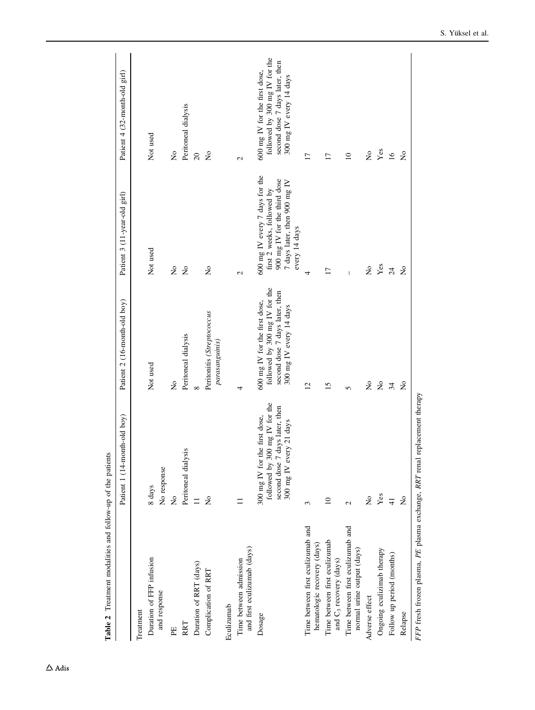<span id="page-3-0"></span>

| Table 2 Treatment modalities and follow-up of the patients          |                                                                                                                             |                                                                                                                             |                                                                                                                                               |                                                                                                                             |
|---------------------------------------------------------------------|-----------------------------------------------------------------------------------------------------------------------------|-----------------------------------------------------------------------------------------------------------------------------|-----------------------------------------------------------------------------------------------------------------------------------------------|-----------------------------------------------------------------------------------------------------------------------------|
|                                                                     | Patient 1 (14-month-old boy)                                                                                                | Patient 2 (16-month-old boy)                                                                                                | Patient 3 (11-year-old girl)                                                                                                                  | Patient 4 (32-month-old girl)                                                                                               |
| Treatment                                                           |                                                                                                                             |                                                                                                                             |                                                                                                                                               |                                                                                                                             |
| Duration of FFP infusion                                            | 8 days                                                                                                                      | Not used                                                                                                                    | Not used                                                                                                                                      | Not used                                                                                                                    |
| and response                                                        | No response                                                                                                                 |                                                                                                                             |                                                                                                                                               |                                                                                                                             |
| EE                                                                  | $\tilde{z}$                                                                                                                 | $\tilde{z}$                                                                                                                 | $\mathop{\mathsf{S}}\nolimits$                                                                                                                | $\mathop{\mathsf{S}}\nolimits$                                                                                              |
| RRT                                                                 | Peritoneal dialysis                                                                                                         | Peritoneal dialysis                                                                                                         | $\mathsf{S}^{\mathsf{O}}$                                                                                                                     | Peritoneal dialysis                                                                                                         |
| Duration of RRT (days)                                              | $\Xi$                                                                                                                       | $\infty$                                                                                                                    |                                                                                                                                               | $\overline{c}$                                                                                                              |
| Complication of RRT                                                 | $\tilde{\mathsf{z}}$                                                                                                        | Peritonitis (Streptococcus<br>parasanguinis)                                                                                | $\mathsf{\hat{z}}$                                                                                                                            | $\overline{\mathsf{X}}$                                                                                                     |
| Eculizumab                                                          |                                                                                                                             |                                                                                                                             |                                                                                                                                               |                                                                                                                             |
| and first eculizumab (days)<br>Time between admission               |                                                                                                                             | 4                                                                                                                           | $\mathcal{L}$                                                                                                                                 | $\mathbf{C}$                                                                                                                |
| Dosage                                                              | followed by 300 mg IV for the<br>second dose 7 days later, then<br>300 mg IV for the first dose,<br>300 mg IV every 21 days | followed by 300 mg IV for the<br>second dose 7 days later, then<br>600 mg IV for the first dose,<br>300 mg IV every 14 days | 600 mg IV every 7 days for the<br>900 mg IV for the third dose<br>7 days later, then 900 mg IV<br>first 2 weeks, followed by<br>every 14 days | followed by 300 mg IV for the<br>second dose 7 days later, then<br>600 mg IV for the first dose,<br>300 mg IV every 14 days |
| Time between first eculizumab and<br>hematologic recovery (days)    | 3                                                                                                                           | $\overline{c}$                                                                                                              | 4                                                                                                                                             | 17                                                                                                                          |
| Time between first eculizumab<br>and C <sub>3</sub> recovery (days) | $\supseteq$                                                                                                                 | 15                                                                                                                          | $\overline{17}$                                                                                                                               | $\overline{17}$                                                                                                             |
| Time between first eculizumab and<br>normal urine output (days)     | $\mathcal{L}$                                                                                                               | 5                                                                                                                           |                                                                                                                                               | $\overline{10}$                                                                                                             |
| Adverse effect                                                      | $\tilde{\mathsf{z}}$                                                                                                        | $\mathsf{\hat{z}}$                                                                                                          | $\frac{1}{2}$                                                                                                                                 | $\mathop{\mathsf{S}}\nolimits$                                                                                              |
| Ongoing eculizimab therapy                                          | $\mathbf{Yes}$                                                                                                              | $\stackrel{\mathtt{o}}{\mathtt{x}}$                                                                                         | $\mathbf{Yes}$                                                                                                                                | $\mathbf{Yes}$                                                                                                              |
| Follow up period (months)                                           | $\overline{4}$                                                                                                              | 34                                                                                                                          | $\overline{24}$                                                                                                                               | $\overline{16}$                                                                                                             |
| Relapse                                                             | $\tilde{z}$                                                                                                                 | $\tilde{z}$                                                                                                                 | $\mathsf{S}^{\mathsf{O}}$                                                                                                                     | $\mathsf{S}^{\mathsf{O}}$                                                                                                   |
| $FFP$ fresh frozen plasma $PE$ plasma exchange $RRT$ renal          | replacement therany                                                                                                         |                                                                                                                             |                                                                                                                                               |                                                                                                                             |

Table 2 Treatment modalities and follow-up of the patients  $\mathbf{f}$  $\frac{1}{2}$  follow منشقاه  $Taha 2T<sub>c</sub>$ 

FFP fresh frozen plasma, PE plasma exchange, RRT renal replacement therapy FFP fresh frozen plasma, PE plasma exchange, RRT renal replacement therapy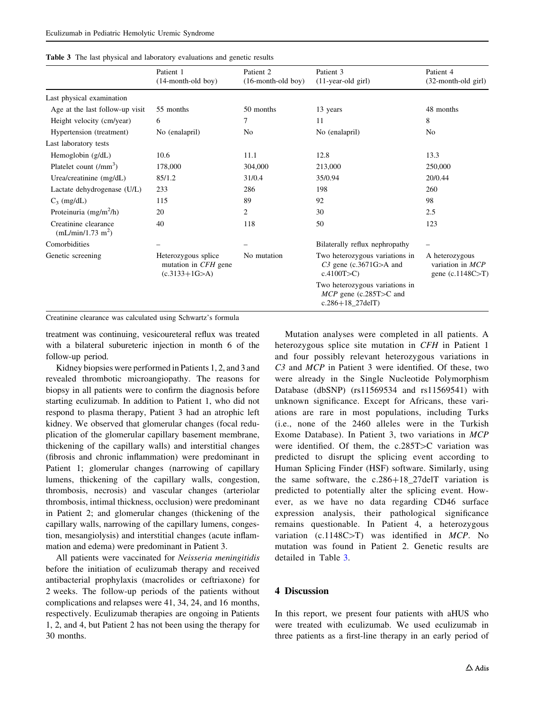|                                                     | Patient 1<br>$(14$ -month-old boy)                                    | Patient 2<br>$(16$ -month-old boy) | Patient 3<br>$(11-year-old girl)$                                                     | Patient 4<br>$(32$ -month-old girl)                      |
|-----------------------------------------------------|-----------------------------------------------------------------------|------------------------------------|---------------------------------------------------------------------------------------|----------------------------------------------------------|
| Last physical examination                           |                                                                       |                                    |                                                                                       |                                                          |
| Age at the last follow-up visit                     | 55 months                                                             | 50 months                          | 13 years                                                                              | 48 months                                                |
| Height velocity (cm/year)                           | 6                                                                     | 7                                  | 11                                                                                    | 8                                                        |
| Hypertension (treatment)                            | No (enalapril)                                                        | N <sub>0</sub>                     | No (enalapril)                                                                        |                                                          |
| Last laboratory tests                               |                                                                       |                                    |                                                                                       |                                                          |
| Hemoglobin $(g/dL)$                                 | 10.6                                                                  | 11.1                               | 12.8                                                                                  | 13.3                                                     |
| Platelet count $(lmm3)$                             | 178,000                                                               | 304,000                            | 213,000                                                                               | 250,000                                                  |
| Urea/creatinine (mg/dL)                             | 85/1.2                                                                | 31/0.4                             | 35/0.94                                                                               | 20/0.44                                                  |
| Lactate dehydrogenase (U/L)                         | 233                                                                   | 286                                | 198                                                                                   | 260                                                      |
| $C_3$ (mg/dL)                                       | 115                                                                   | 89                                 | 92                                                                                    | 98                                                       |
| Proteinuria (mg/m <sup>2</sup> /h)                  | 20                                                                    | 2                                  | 30                                                                                    | 2.5                                                      |
| Creatinine clearance<br>$(mL/min/1.73 \text{ m}^2)$ | 40                                                                    | 118                                | 50                                                                                    | 123                                                      |
| Comorbidities                                       |                                                                       |                                    | Bilaterally reflux nephropathy                                                        |                                                          |
| Genetic screening                                   | Heterozygous splice<br>mutation in <i>CFH</i> gene<br>$(c.3133+1G>A)$ | No mutation                        | Two heterozygous variations in<br>$C3$ gene (c.3671G $>$ A and<br>c.4100T > C         | A heterozygous<br>variation in $MCP$<br>gene (c.1148C>T) |
|                                                     |                                                                       |                                    | Two heterozygous variations in<br>$MCP$ gene (c.285T $>C$ and<br>$c.286 + 18$ 27delT) |                                                          |

Creatinine clearance was calculated using Schwartz's formula

treatment was continuing, vesicoureteral reflux was treated with a bilateral subureteric injection in month 6 of the follow-up period.

Kidney biopsies were performed in Patients 1, 2, and 3 and revealed thrombotic microangiopathy. The reasons for biopsy in all patients were to confirm the diagnosis before starting eculizumab. In addition to Patient 1, who did not respond to plasma therapy, Patient 3 had an atrophic left kidney. We observed that glomerular changes (focal reduplication of the glomerular capillary basement membrane, thickening of the capillary walls) and interstitial changes (fibrosis and chronic inflammation) were predominant in Patient 1; glomerular changes (narrowing of capillary lumens, thickening of the capillary walls, congestion, thrombosis, necrosis) and vascular changes (arteriolar thrombosis, intimal thickness, occlusion) were predominant in Patient 2; and glomerular changes (thickening of the capillary walls, narrowing of the capillary lumens, congestion, mesangiolysis) and interstitial changes (acute inflammation and edema) were predominant in Patient 3.

All patients were vaccinated for Neisseria meningitidis before the initiation of eculizumab therapy and received antibacterial prophylaxis (macrolides or ceftriaxone) for 2 weeks. The follow-up periods of the patients without complications and relapses were 41, 34, 24, and 16 months, respectively. Eculizumab therapies are ongoing in Patients 1, 2, and 4, but Patient 2 has not been using the therapy for 30 months.

Mutation analyses were completed in all patients. A heterozygous splice site mutation in CFH in Patient 1 and four possibly relevant heterozygous variations in C3 and MCP in Patient 3 were identified. Of these, two were already in the Single Nucleotide Polymorphism Database (dbSNP) (rs11569534 and rs11569541) with unknown significance. Except for Africans, these variations are rare in most populations, including Turks (i.e., none of the 2460 alleles were in the Turkish Exome Database). In Patient 3, two variations in MCP were identified. Of them, the  $c.285T>C$  variation was predicted to disrupt the splicing event according to Human Splicing Finder (HSF) software. Similarly, using the same software, the  $c.286+18\_27$ delT variation is predicted to potentially alter the splicing event. However, as we have no data regarding CD46 surface expression analysis, their pathological significance remains questionable. In Patient 4, a heterozygous variation (c.1148C $>$ T) was identified in MCP. No mutation was found in Patient 2. Genetic results are detailed in Table 3.

#### 4 Discussion

In this report, we present four patients with aHUS who were treated with eculizumab. We used eculizumab in three patients as a first-line therapy in an early period of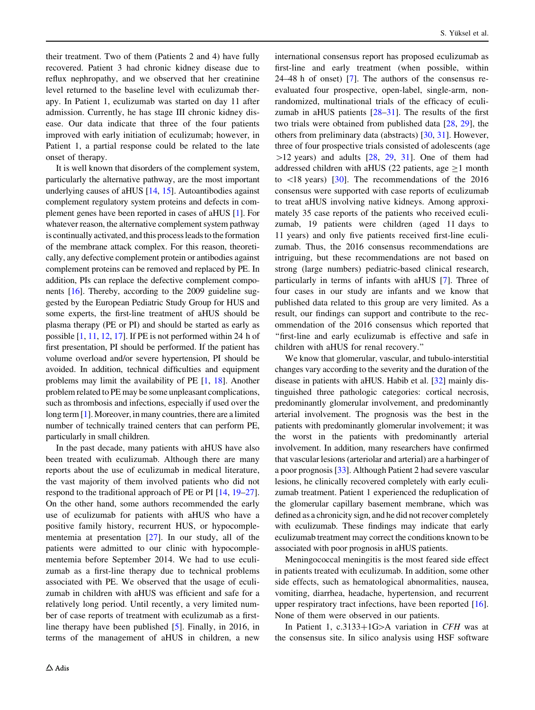their treatment. Two of them (Patients 2 and 4) have fully recovered. Patient 3 had chronic kidney disease due to reflux nephropathy, and we observed that her creatinine level returned to the baseline level with eculizumab therapy. In Patient 1, eculizumab was started on day 11 after admission. Currently, he has stage III chronic kidney disease. Our data indicate that three of the four patients improved with early initiation of eculizumab; however, in Patient 1, a partial response could be related to the late onset of therapy.

It is well known that disorders of the complement system, particularly the alternative pathway, are the most important underlying causes of aHUS [\[14](#page-7-0), [15](#page-7-0)]. Autoantibodies against complement regulatory system proteins and defects in complement genes have been reported in cases of aHUS [\[1](#page-6-0)]. For whatever reason, the alternative complement system pathway is continually activated, and this process leads to the formation of the membrane attack complex. For this reason, theoretically, any defective complement protein or antibodies against complement proteins can be removed and replaced by PE. In addition, PIs can replace the defective complement components [\[16\]](#page-7-0). Thereby, according to the 2009 guideline suggested by the European Pediatric Study Group for HUS and some experts, the first-line treatment of aHUS should be plasma therapy (PE or PI) and should be started as early as possible [\[1](#page-6-0), [11,](#page-7-0) [12](#page-7-0), [17\]](#page-7-0). If PE is not performed within 24 h of first presentation, PI should be performed. If the patient has volume overload and/or severe hypertension, PI should be avoided. In addition, technical difficulties and equipment problems may limit the availability of PE [\[1,](#page-6-0) [18\]](#page-7-0). Another problem related to PE may be some unpleasant complications, such as thrombosis and infections, especially if used over the long term [\[1\]](#page-6-0). Moreover, in many countries, there are a limited number of technically trained centers that can perform PE, particularly in small children.

In the past decade, many patients with aHUS have also been treated with eculizumab. Although there are many reports about the use of eculizumab in medical literature, the vast majority of them involved patients who did not respond to the traditional approach of PE or PI [\[14](#page-7-0), [19–27](#page-7-0)]. On the other hand, some authors recommended the early use of eculizumab for patients with aHUS who have a positive family history, recurrent HUS, or hypocomplementemia at presentation [[27\]](#page-7-0). In our study, all of the patients were admitted to our clinic with hypocomplementemia before September 2014. We had to use eculizumab as a first-line therapy due to technical problems associated with PE. We observed that the usage of eculizumab in children with aHUS was efficient and safe for a relatively long period. Until recently, a very limited number of case reports of treatment with eculizumab as a firstline therapy have been published [[5\]](#page-6-0). Finally, in 2016, in terms of the management of aHUS in children, a new international consensus report has proposed eculizumab as first-line and early treatment (when possible, within 24–48 h of onset) [\[7](#page-6-0)]. The authors of the consensus reevaluated four prospective, open-label, single-arm, nonrandomized, multinational trials of the efficacy of eculizumab in aHUS patients  $[28-31]$ . The results of the first two trials were obtained from published data [[28](#page-7-0), [29\]](#page-7-0), the others from preliminary data (abstracts) [[30,](#page-7-0) [31\]](#page-7-0). However, three of four prospective trials consisted of adolescents (age  $>12$  years) and adults [[28,](#page-7-0) [29,](#page-7-0) [31\]](#page-7-0). One of them had addressed children with aHUS (22 patients, age  $>1$  month to  $\langle 18 \rangle$  years) [[30\]](#page-7-0). The recommendations of the 2016 consensus were supported with case reports of eculizumab to treat aHUS involving native kidneys. Among approximately 35 case reports of the patients who received eculizumab, 19 patients were children (aged 11 days to 11 years) and only five patients received first-line eculizumab. Thus, the 2016 consensus recommendations are intriguing, but these recommendations are not based on strong (large numbers) pediatric-based clinical research, particularly in terms of infants with aHUS [\[7](#page-6-0)]. Three of four cases in our study are infants and we know that published data related to this group are very limited. As a result, our findings can support and contribute to the recommendation of the 2016 consensus which reported that ''first-line and early eculizumab is effective and safe in children with aHUS for renal recovery.''

We know that glomerular, vascular, and tubulo-interstitial changes vary according to the severity and the duration of the disease in patients with aHUS. Habib et al. [\[32](#page-7-0)] mainly distinguished three pathologic categories: cortical necrosis, predominantly glomerular involvement, and predominantly arterial involvement. The prognosis was the best in the patients with predominantly glomerular involvement; it was the worst in the patients with predominantly arterial involvement. In addition, many researchers have confirmed that vascular lesions (arteriolar and arterial) are a harbinger of a poor prognosis [[33](#page-7-0)]. Although Patient 2 had severe vascular lesions, he clinically recovered completely with early eculizumab treatment. Patient 1 experienced the reduplication of the glomerular capillary basement membrane, which was defined as a chronicity sign, and he did not recover completely with eculizumab. These findings may indicate that early eculizumab treatment may correct the conditions known to be associated with poor prognosis in aHUS patients.

Meningococcal meningitis is the most feared side effect in patients treated with eculizumab. In addition, some other side effects, such as hematological abnormalities, nausea, vomiting, diarrhea, headache, hypertension, and recurrent upper respiratory tract infections, have been reported [\[16](#page-7-0)]. None of them were observed in our patients.

In Patient 1, c.3133+1G $\geq$ A variation in CFH was at the consensus site. In silico analysis using HSF software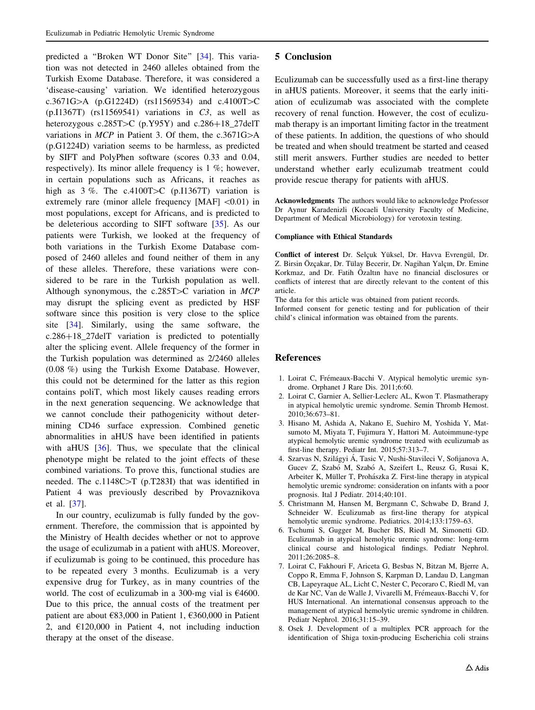<span id="page-6-0"></span>predicted a ''Broken WT Donor Site'' [\[34](#page-7-0)]. This variation was not detected in 2460 alleles obtained from the Turkish Exome Database. Therefore, it was considered a 'disease-causing' variation. We identified heterozygous c.3671G $>A$  (p.G1224D) (rs11569534) and c.4100T $>C$  $(p.I1367T)$  (rs11569541) variations in C3, as well as heterozygous c.285T $>$ C (p.Y95Y) and c.286+18\_27delT variations in  $MCP$  in Patient 3. Of them, the c.3671G $>$ A (p.G1224D) variation seems to be harmless, as predicted by SIFT and PolyPhen software (scores 0.33 and 0.04, respectively). Its minor allele frequency is 1 %; however, in certain populations such as Africans, it reaches as high as  $3\%$ . The c.4100T $\geq$ C (p.I1367T) variation is extremely rare (minor allele frequency  $[MAF] < 0.01$ ) in most populations, except for Africans, and is predicted to be deleterious according to SIFT software [\[35](#page-7-0)]. As our patients were Turkish, we looked at the frequency of both variations in the Turkish Exome Database composed of 2460 alleles and found neither of them in any of these alleles. Therefore, these variations were considered to be rare in the Turkish population as well. Although synonymous, the c.285T $>$ C variation in MCP may disrupt the splicing event as predicted by HSF software since this position is very close to the splice site [\[34](#page-7-0)]. Similarly, using the same software, the  $c.286+18\_27$ delT variation is predicted to potentially alter the splicing event. Allele frequency of the former in the Turkish population was determined as 2/2460 alleles (0.08 %) using the Turkish Exome Database. However, this could not be determined for the latter as this region contains poliT, which most likely causes reading errors in the next generation sequencing. We acknowledge that we cannot conclude their pathogenicity without determining CD46 surface expression. Combined genetic abnormalities in aHUS have been identified in patients with aHUS  $[36]$  $[36]$ . Thus, we speculate that the clinical phenotype might be related to the joint effects of these combined variations. To prove this, functional studies are needed. The c.1148C $>$ T (p.T283I) that was identified in Patient 4 was previously described by Provaznikova et al. [\[37](#page-7-0)].

In our country, eculizumab is fully funded by the government. Therefore, the commission that is appointed by the Ministry of Health decides whether or not to approve the usage of eculizumab in a patient with aHUS. Moreover, if eculizumab is going to be continued, this procedure has to be repeated every 3 months. Eculizumab is a very expensive drug for Turkey, as in many countries of the world. The cost of eculizumab in a 300-mg vial is €4600. Due to this price, the annual costs of the treatment per patient are about €83,000 in Patient 1, €360,000 in Patient 2, and  $\epsilon$ 120,000 in Patient 4, not including induction therapy at the onset of the disease.

### 5 Conclusion

Eculizumab can be successfully used as a first-line therapy in aHUS patients. Moreover, it seems that the early initiation of eculizumab was associated with the complete recovery of renal function. However, the cost of eculizumab therapy is an important limiting factor in the treatment of these patients. In addition, the questions of who should be treated and when should treatment be started and ceased still merit answers. Further studies are needed to better understand whether early eculizumab treatment could provide rescue therapy for patients with aHUS.

Acknowledgments The authors would like to acknowledge Professor Dr Aynur Karadenizli (Kocaeli University Faculty of Medicine, Department of Medical Microbiology) for verotoxin testing.

#### Compliance with Ethical Standards

Conflict of interest Dr. Selçuk Yüksel, Dr. Havva Evrengül, Dr. Z. Birsin Özçakar, Dr. Tülay Becerir, Dr. Nagihan Yalçın, Dr. Emine Korkmaz, and Dr. Fatih Özaltın have no financial disclosures or conflicts of interest that are directly relevant to the content of this article.

The data for this article was obtained from patient records.

Informed consent for genetic testing and for publication of their child's clinical information was obtained from the parents.

#### References

- 1. Loirat C, Frémeaux-Bacchi V. Atypical hemolytic uremic syndrome. Orphanet J Rare Dis. 2011;6:60.
- 2. Loirat C, Garnier A, Sellier-Leclerc AL, Kwon T. Plasmatherapy in atypical hemolytic uremic syndrome. Semin Thromb Hemost. 2010;36:673–81.
- 3. Hisano M, Ashida A, Nakano E, Suehiro M, Yoshida Y, Matsumoto M, Miyata T, Fujimura Y, Hattori M. Autoimmune-type atypical hemolytic uremic syndrome treated with eculizumab as first-line therapy. Pediatr Int. 2015;57:313–7.
- 4. Szarvas N, Szilágyi Á, Tasic V, Nushi-Stavileci V, Sofijanova A, Gucev Z, Szabó M, Szabó A, Szeifert L, Reusz G, Rusai K, Arbeiter K, Müller T, Prohászka Z. First-line therapy in atypical hemolytic uremic syndrome: consideration on infants with a poor prognosis. Ital J Pediatr. 2014;40:101.
- 5. Christmann M, Hansen M, Bergmann C, Schwabe D, Brand J, Schneider W. Eculizumab as first-line therapy for atypical hemolytic uremic syndrome. Pediatrics. 2014;133:1759–63.
- 6. Tschumi S, Gugger M, Bucher BS, Riedl M, Simonetti GD. Eculizumab in atypical hemolytic uremic syndrome: long-term clinical course and histological findings. Pediatr Nephrol. 2011;26:2085–8.
- 7. Loirat C, Fakhouri F, Ariceta G, Besbas N, Bitzan M, Bjerre A, Coppo R, Emma F, Johnson S, Karpman D, Landau D, Langman CB, Lapeyraque AL, Licht C, Nester C, Pecoraro C, Riedl M, van de Kar NC, Van de Walle J, Vivarelli M, Frémeaux-Bacchi V, for HUS International. An international consensus approach to the management of atypical hemolytic uremic syndrome in children. Pediatr Nephrol. 2016;31:15–39.
- 8. Osek J. Development of a multiplex PCR approach for the identification of Shiga toxin-producing Escherichia coli strains